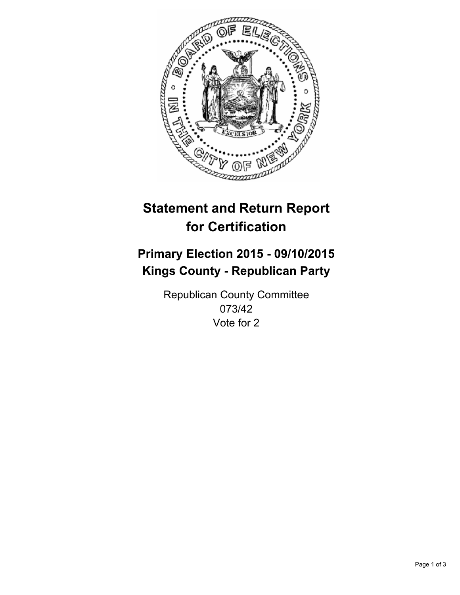

# **Statement and Return Report for Certification**

## **Primary Election 2015 - 09/10/2015 Kings County - Republican Party**

Republican County Committee 073/42 Vote for 2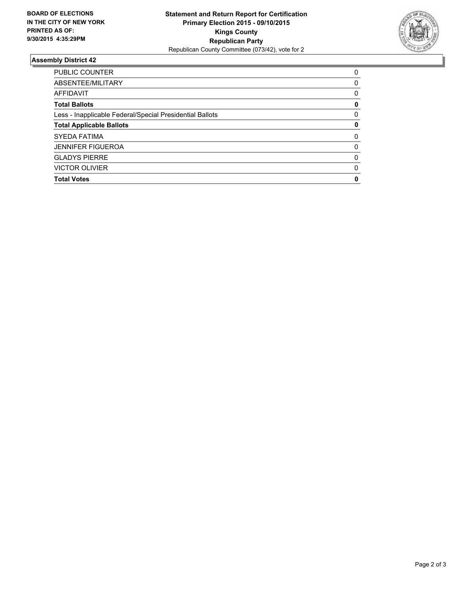

#### **Assembly District 42**

| PUBLIC COUNTER                                           | 0        |
|----------------------------------------------------------|----------|
| ABSENTEE/MILITARY                                        | 0        |
| AFFIDAVIT                                                | 0        |
| <b>Total Ballots</b>                                     | 0        |
| Less - Inapplicable Federal/Special Presidential Ballots | $\Omega$ |
| <b>Total Applicable Ballots</b>                          | 0        |
| <b>SYEDA FATIMA</b>                                      | $\Omega$ |
| <b>JENNIFER FIGUEROA</b>                                 | $\Omega$ |
| <b>GLADYS PIERRE</b>                                     | 0        |
| <b>VICTOR OLIVIER</b>                                    | $\Omega$ |
| <b>Total Votes</b>                                       | 0        |